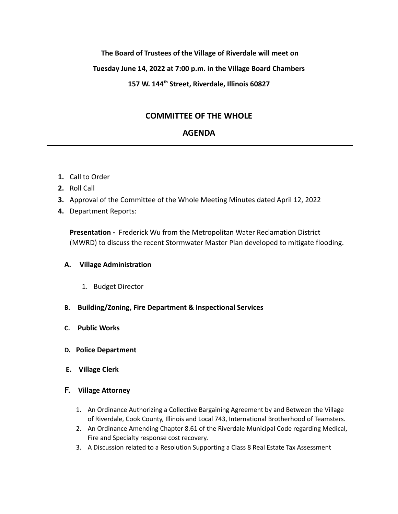## **The Board of Trustees of the Village of Riverdale will meet on**

#### **Tuesday June 14, 2022 at 7:00 p.m. in the Village Board Chambers**

## **157 W. 144th Street, Riverdale, Illinois 60827**

# **COMMITTEE OF THE WHOLE**

## **AGENDA**

- **1.** Call to Order
- **2.** Roll Call
- **3.** Approval of the Committee of the Whole Meeting Minutes dated April 12, 2022
- **4.** Department Reports:

**Presentation -** Frederick Wu from the Metropolitan Water Reclamation District (MWRD) to discuss the recent Stormwater Master Plan developed to mitigate flooding.

#### **A. Village Administration**

- 1. Budget Director
- **B. Building/Zoning, Fire Department & Inspectional Services**
- **C. Public Works**
- **D. Police Department**
- **E. Village Clerk**

## **F. Village Attorney**

- 1. An Ordinance Authorizing a Collective Bargaining Agreement by and Between the Village of Riverdale, Cook County, Illinois and Local 743, International Brotherhood of Teamsters.
- 2. An Ordinance Amending Chapter 8.61 of the Riverdale Municipal Code regarding Medical, Fire and Specialty response cost recovery.
- 3. A Discussion related to a Resolution Supporting a Class 8 Real Estate Tax Assessment